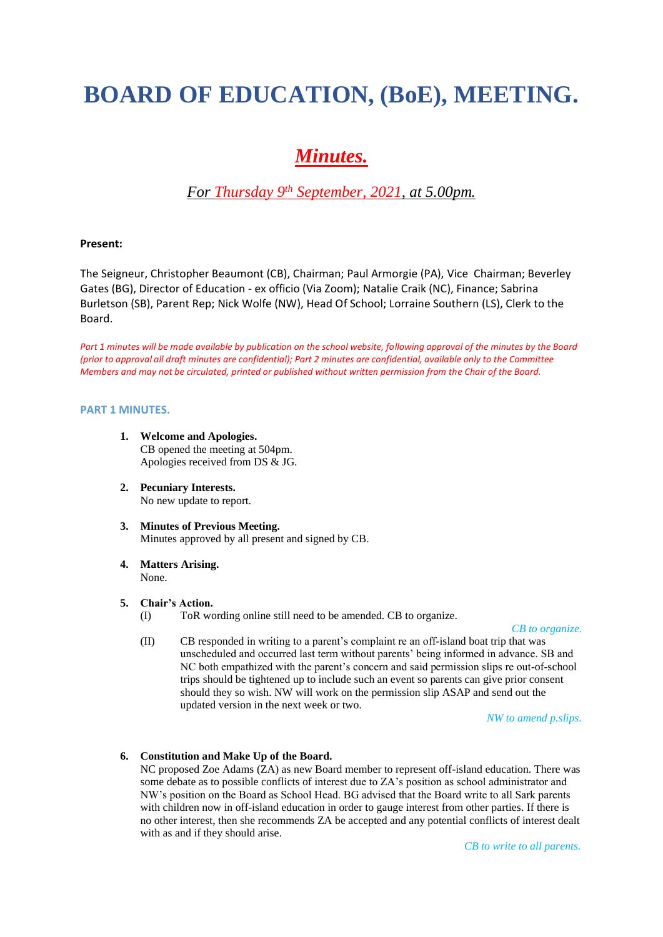# **BOARD OF EDUCATION, (BoE), MEETING.**

## *Minutes.*

### *For Thursday 9th September, 2021, at 5.00pm.*

#### **Present:**

The Seigneur, Christopher Beaumont (CB), Chairman; Paul Armorgie (PA), Vice Chairman; Beverley Gates (BG), Director of Education - ex officio (Via Zoom); Natalie Craik (NC), Finance; Sabrina Burletson (SB), Parent Rep; Nick Wolfe (NW), Head Of School; Lorraine Southern (LS), Clerk to the Board.

Part 1 minutes will be made available by publication on the school website, following approval of the minutes by the Board *(prior to approval all draft minutes are confidential); Part 2 minutes are confidential, available only to the Committee Members and may not be circulated, printed or published without written permission from the Chair of the Board.*

#### **PART 1 MINUTES.**

- **1. Welcome and Apologies.** CB opened the meeting at 504pm. Apologies received from DS & JG.
- **2. Pecuniary Interests.** No new update to report.
- **3. Minutes of Previous Meeting.** Minutes approved by all present and signed by CB.
- **4. Matters Arising.** None.

#### **5. Chair's Action.**

(I) ToR wording online still need to be amended. CB to organize.

#### *CB to organize.*

(II) CB responded in writing to a parent's complaint re an off-island boat trip that was unscheduled and occurred last term without parents' being informed in advance. SB and NC both empathized with the parent's concern and said permission slips re out-of-school trips should be tightened up to include such an event so parents can give prior consent should they so wish. NW will work on the permission slip ASAP and send out the updated version in the next week or two.

*NW to amend p.slips.*

#### **6. Constitution and Make Up of the Board.**

NC proposed Zoe Adams (ZA) as new Board member to represent off-island education. There was some debate as to possible conflicts of interest due to ZA's position as school administrator and NW's position on the Board as School Head. BG advised that the Board write to all Sark parents with children now in off-island education in order to gauge interest from other parties. If there is no other interest, then she recommends ZA be accepted and any potential conflicts of interest dealt with as and if they should arise.

*CB to write to all parents.*